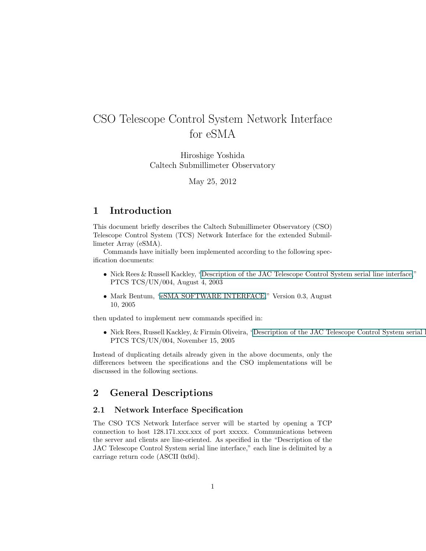# <span id="page-0-0"></span>CSO Telescope Control System Network Interface for eSMA

Hiroshige Yoshida Caltech Submillimeter Observatory

May 25, 2012

# 1 Introduction

This document briefly describes the Caltech Submillimeter Observatory (CSO) Telescope Control System (TCS) Network Interface for the extended Submillimeter Array (eSMA).

Commands have initially been implemented according to the following specification documents:

- Nick Rees & Russell Kackley, "Description of the JAC Telescope Control System serial line interface," PTCS TCS/UN/004, August 4, 2003
- Mark Bentum, "eSMA SOFTWARE INTERFACE," Version 0.3, August 10, 2005

then updated to implement new commands specified in:

• Nick Rees, Russell Kackley, & Firmin Oliveira, "Description of the JAC Telescope Control System serial line PTCS TCS/UN/004, November 15, 2005

Instead of duplicating details already given in the above documents, only the differences between the specifications and the CSO implementations will be discussed in the following sections.

# 2 General Descriptions

#### 2.1 Network Interface Specification

The CSO TCS Network Interface server will be started by opening a TCP connection to host 128.171.xxx.xxx of port xxxxx. Communications between the server and clients are line-oriented. As specified in the "Description of the JAC Telescope Control System serial line interface," each line is delimited by a carriage return code (ASCII 0x0d).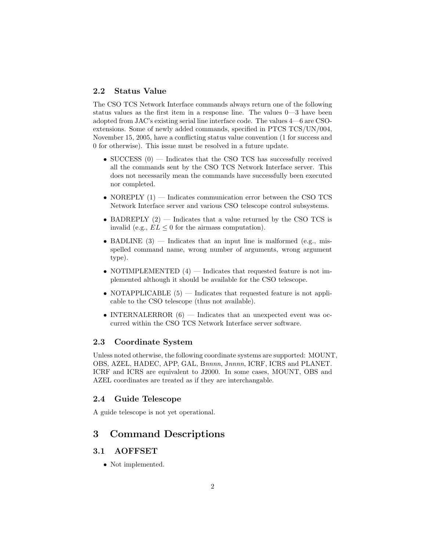### 2.2 Status Value

The CSO TCS Network Interface commands always return one of the following status values as the first item in a response line. The values 0—3 have been adopted from JAC's existing serial line interface code. The values 4—6 are CSOextensions. Some of newly added commands, specified in PTCS TCS/UN/004, November 15, 2005, have a conflicting status value convention (1 for success and 0 for otherwise). This issue must be resolved in a future update.

- SUCCESS  $(0)$  Indicates that the CSO TCS has successfully received all the commands sent by the CSO TCS Network Interface server. This does not necessarily mean the commands have successfully been executed nor completed.
- NOREPLY  $(1)$  Indicates communication error between the CSO TCS Network Interface server and various CSO telescope control subsystems.
- BADREPLY  $(2)$  Indicates that a value returned by the CSO TCS is invalid (e.g.,  $EL \leq 0$  for the airmass computation).
- BADLINE  $(3)$  Indicates that an input line is malformed (e.g., misspelled command name, wrong number of arguments, wrong argument type).
- NOTIMPLEMENTED  $(4)$  Indicates that requested feature is not implemented although it should be available for the CSO telescope.
- NOTAPPLICABLE  $(5)$  Indicates that requested feature is not applicable to the CSO telescope (thus not available).
- INTERNALERROR  $(6)$  Indicates that an unexpected event was occurred within the CSO TCS Network Interface server software.

#### 2.3 Coordinate System

Unless noted otherwise, the following coordinate systems are supported: MOUNT, OBS, AZEL, HADEC, APP, GAL, Bnnnn, Jnnnn, ICRF, ICRS and PLANET. ICRF and ICRS are equivalent to J2000. In some cases, MOUNT, OBS and AZEL coordinates are treated as if they are interchangable.

#### 2.4 Guide Telescope

A guide telescope is not yet operational.

# 3 Command Descriptions

# 3.1 AOFFSET

• Not implemented.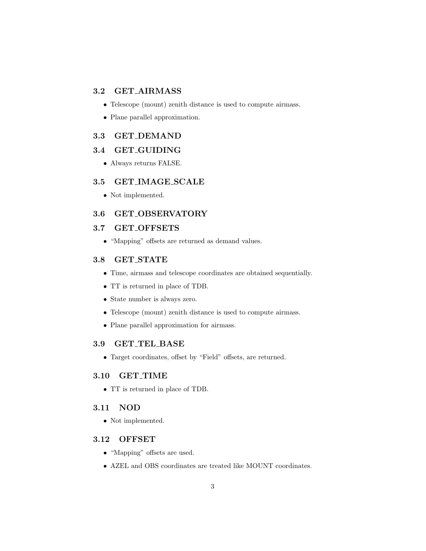#### 3.2 GET AIRMASS

- Telescope (mount) zenith distance is used to compute airmass.
- Plane parallel approximation.

#### 3.3 GET DEMAND

### 3.4 GET GUIDING

• Always returns FALSE.

#### 3.5 GET IMAGE SCALE

• Not implemented.

## 3.6 GET OBSERVATORY

#### 3.7 GET OFFSETS

• "Mapping" offsets are returned as demand values.

#### 3.8 GET STATE

- Time, airmass and telescope coordinates are obtained sequentially.
- TT is returned in place of TDB.
- State number is always zero.
- Telescope (mount) zenith distance is used to compute airmass.
- Plane parallel approximation for airmass.

#### 3.9 GET TEL BASE

• Target coordinates, offset by "Field" offsets, are returned.

#### 3.10 GET TIME

• TT is returned in place of TDB.

#### 3.11 NOD

• Not implemented.

#### 3.12 OFFSET

- "Mapping" offsets are used.
- AZEL and OBS coordinates are treated like MOUNT coordinates.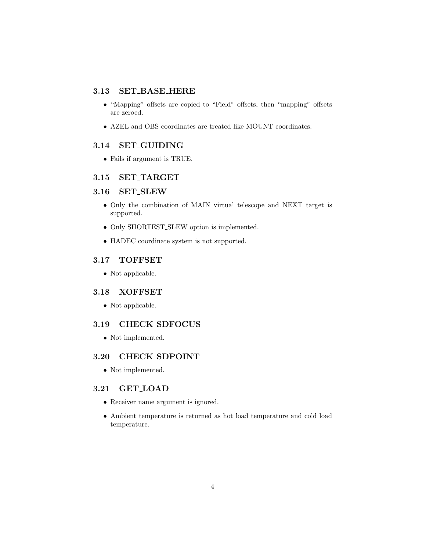#### 3.13 SET BASE HERE

- "Mapping" offsets are copied to "Field" offsets, then "mapping" offsets are zeroed.
- AZEL and OBS coordinates are treated like MOUNT coordinates.

# 3.14 SET GUIDING

• Fails if argument is TRUE.

# 3.15 SET TARGET

# 3.16 SET SLEW

- Only the combination of MAIN virtual telescope and NEXT target is supported.
- Only SHORTEST SLEW option is implemented.
- HADEC coordinate system is not supported.

### 3.17 TOFFSET

• Not applicable.

#### 3.18 XOFFSET

 $\bullet\,$  Not applicable.

#### 3.19 CHECK SDFOCUS

• Not implemented.

#### 3.20 CHECK SDPOINT

• Not implemented.

# 3.21 GET LOAD

- Receiver name argument is ignored.
- Ambient temperature is returned as hot load temperature and cold load temperature.